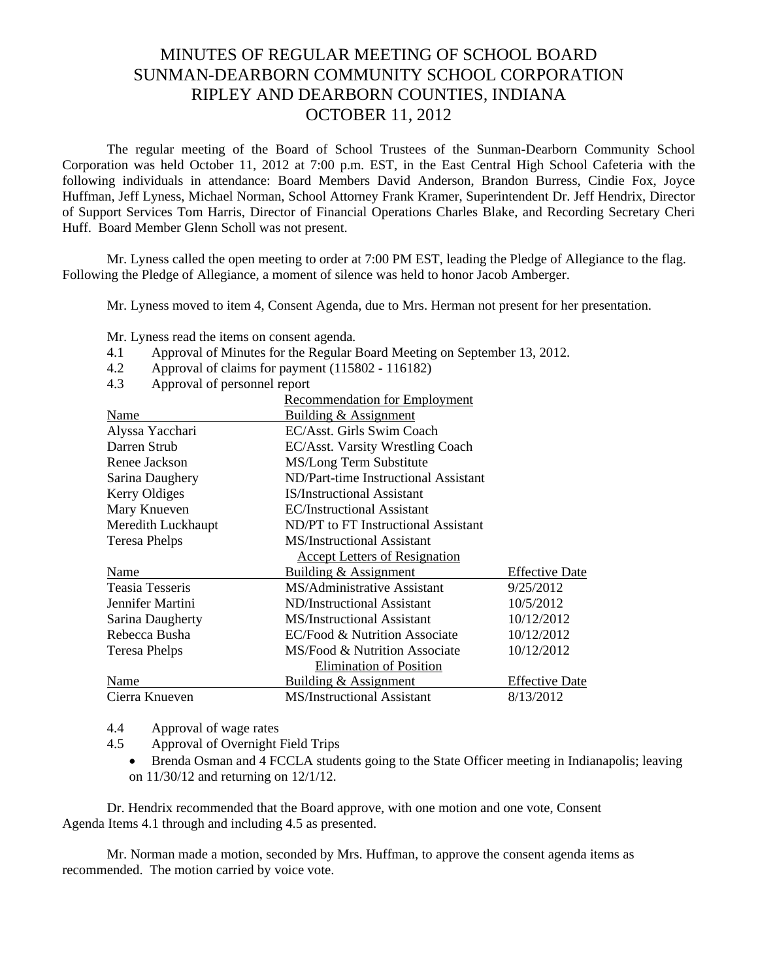## MINUTES OF REGULAR MEETING OF SCHOOL BOARD SUNMAN-DEARBORN COMMUNITY SCHOOL CORPORATION RIPLEY AND DEARBORN COUNTIES, INDIANA OCTOBER 11, 2012

The regular meeting of the Board of School Trustees of the Sunman-Dearborn Community School Corporation was held October 11, 2012 at 7:00 p.m. EST, in the East Central High School Cafeteria with the following individuals in attendance: Board Members David Anderson, Brandon Burress, Cindie Fox, Joyce Huffman, Jeff Lyness, Michael Norman, School Attorney Frank Kramer, Superintendent Dr. Jeff Hendrix, Director of Support Services Tom Harris, Director of Financial Operations Charles Blake, and Recording Secretary Cheri Huff. Board Member Glenn Scholl was not present.

Mr. Lyness called the open meeting to order at 7:00 PM EST, leading the Pledge of Allegiance to the flag. Following the Pledge of Allegiance, a moment of silence was held to honor Jacob Amberger.

Mr. Lyness moved to item 4, Consent Agenda, due to Mrs. Herman not present for her presentation.

Mr. Lyness read the items on consent agenda*.* 

- 4.1 Approval of Minutes for the Regular Board Meeting on September 13, 2012.
- 4.2 Approval of claims for payment (115802 116182)
- 4.3 Approval of personnel report

|                        | <b>Recommendation for Employment</b> |                       |
|------------------------|--------------------------------------|-----------------------|
| Name                   | Building & Assignment                |                       |
| Alyssa Yacchari        | EC/Asst. Girls Swim Coach            |                       |
| Darren Strub           | EC/Asst. Varsity Wrestling Coach     |                       |
| Renee Jackson          | MS/Long Term Substitute              |                       |
| Sarina Daughery        | ND/Part-time Instructional Assistant |                       |
| Kerry Oldiges          | <b>IS/Instructional Assistant</b>    |                       |
| Mary Knueven           | <b>EC/Instructional Assistant</b>    |                       |
| Meredith Luckhaupt     | ND/PT to FT Instructional Assistant  |                       |
| <b>Teresa Phelps</b>   | MS/Instructional Assistant           |                       |
|                        | <b>Accept Letters of Resignation</b> |                       |
| Name                   | Building & Assignment                | <b>Effective Date</b> |
| <b>Teasia Tesseris</b> | MS/Administrative Assistant          | 9/25/2012             |
| Jennifer Martini       | ND/Instructional Assistant           | 10/5/2012             |
| Sarina Daugherty       | <b>MS/Instructional Assistant</b>    | 10/12/2012            |
| Rebecca Busha          | EC/Food & Nutrition Associate        | 10/12/2012            |
| <b>Teresa Phelps</b>   | MS/Food & Nutrition Associate        | 10/12/2012            |
|                        | <b>Elimination of Position</b>       |                       |
| Name                   | Building & Assignment                | <b>Effective Date</b> |
| Cierra Knueven         | <b>MS/Instructional Assistant</b>    | 8/13/2012             |

4.4 Approval of wage rates

4.5 Approval of Overnight Field Trips

 Brenda Osman and 4 FCCLA students going to the State Officer meeting in Indianapolis; leaving on 11/30/12 and returning on 12/1/12.

Dr. Hendrix recommended that the Board approve, with one motion and one vote, Consent Agenda Items 4.1 through and including 4.5 as presented.

Mr. Norman made a motion, seconded by Mrs. Huffman, to approve the consent agenda items as recommended. The motion carried by voice vote.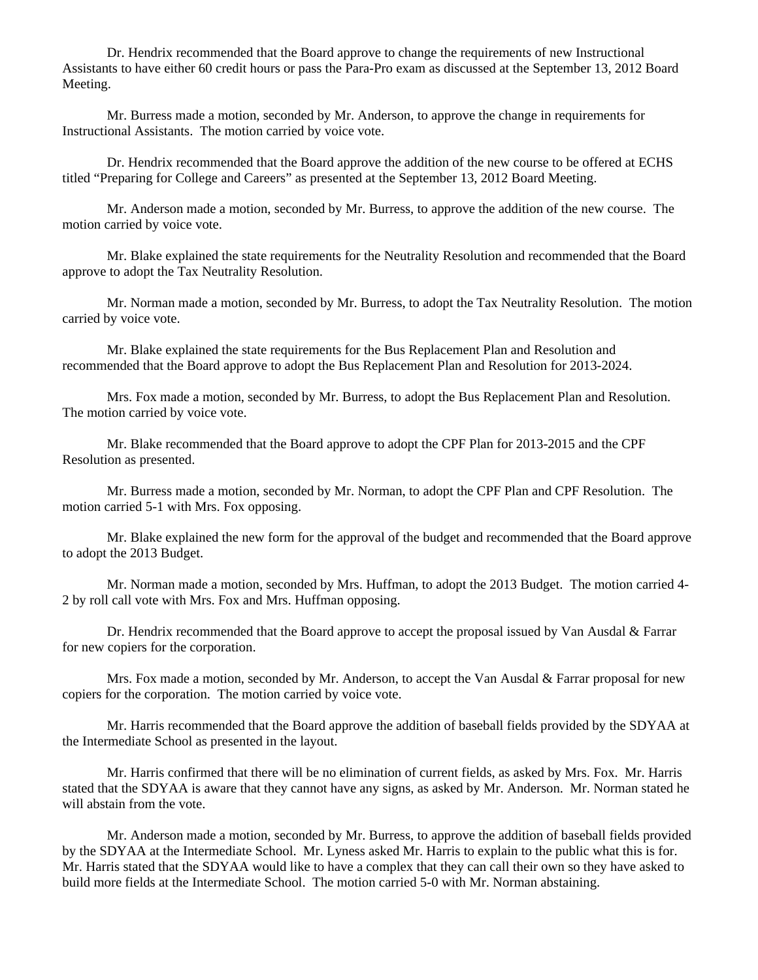Dr. Hendrix recommended that the Board approve to change the requirements of new Instructional Assistants to have either 60 credit hours or pass the Para-Pro exam as discussed at the September 13, 2012 Board Meeting.

 Mr. Burress made a motion, seconded by Mr. Anderson, to approve the change in requirements for Instructional Assistants. The motion carried by voice vote.

 Dr. Hendrix recommended that the Board approve the addition of the new course to be offered at ECHS titled "Preparing for College and Careers" as presented at the September 13, 2012 Board Meeting.

 Mr. Anderson made a motion, seconded by Mr. Burress, to approve the addition of the new course. The motion carried by voice vote.

 Mr. Blake explained the state requirements for the Neutrality Resolution and recommended that the Board approve to adopt the Tax Neutrality Resolution.

 Mr. Norman made a motion, seconded by Mr. Burress, to adopt the Tax Neutrality Resolution. The motion carried by voice vote.

 Mr. Blake explained the state requirements for the Bus Replacement Plan and Resolution and recommended that the Board approve to adopt the Bus Replacement Plan and Resolution for 2013-2024.

 Mrs. Fox made a motion, seconded by Mr. Burress, to adopt the Bus Replacement Plan and Resolution. The motion carried by voice vote.

 Mr. Blake recommended that the Board approve to adopt the CPF Plan for 2013-2015 and the CPF Resolution as presented.

 Mr. Burress made a motion, seconded by Mr. Norman, to adopt the CPF Plan and CPF Resolution. The motion carried 5-1 with Mrs. Fox opposing.

 Mr. Blake explained the new form for the approval of the budget and recommended that the Board approve to adopt the 2013 Budget.

 Mr. Norman made a motion, seconded by Mrs. Huffman, to adopt the 2013 Budget. The motion carried 4- 2 by roll call vote with Mrs. Fox and Mrs. Huffman opposing.

 Dr. Hendrix recommended that the Board approve to accept the proposal issued by Van Ausdal & Farrar for new copiers for the corporation.

Mrs. Fox made a motion, seconded by Mr. Anderson, to accept the Van Ausdal & Farrar proposal for new copiers for the corporation. The motion carried by voice vote.

 Mr. Harris recommended that the Board approve the addition of baseball fields provided by the SDYAA at the Intermediate School as presented in the layout.

 Mr. Harris confirmed that there will be no elimination of current fields, as asked by Mrs. Fox. Mr. Harris stated that the SDYAA is aware that they cannot have any signs, as asked by Mr. Anderson. Mr. Norman stated he will abstain from the vote.

 Mr. Anderson made a motion, seconded by Mr. Burress, to approve the addition of baseball fields provided by the SDYAA at the Intermediate School. Mr. Lyness asked Mr. Harris to explain to the public what this is for. Mr. Harris stated that the SDYAA would like to have a complex that they can call their own so they have asked to build more fields at the Intermediate School. The motion carried 5-0 with Mr. Norman abstaining.